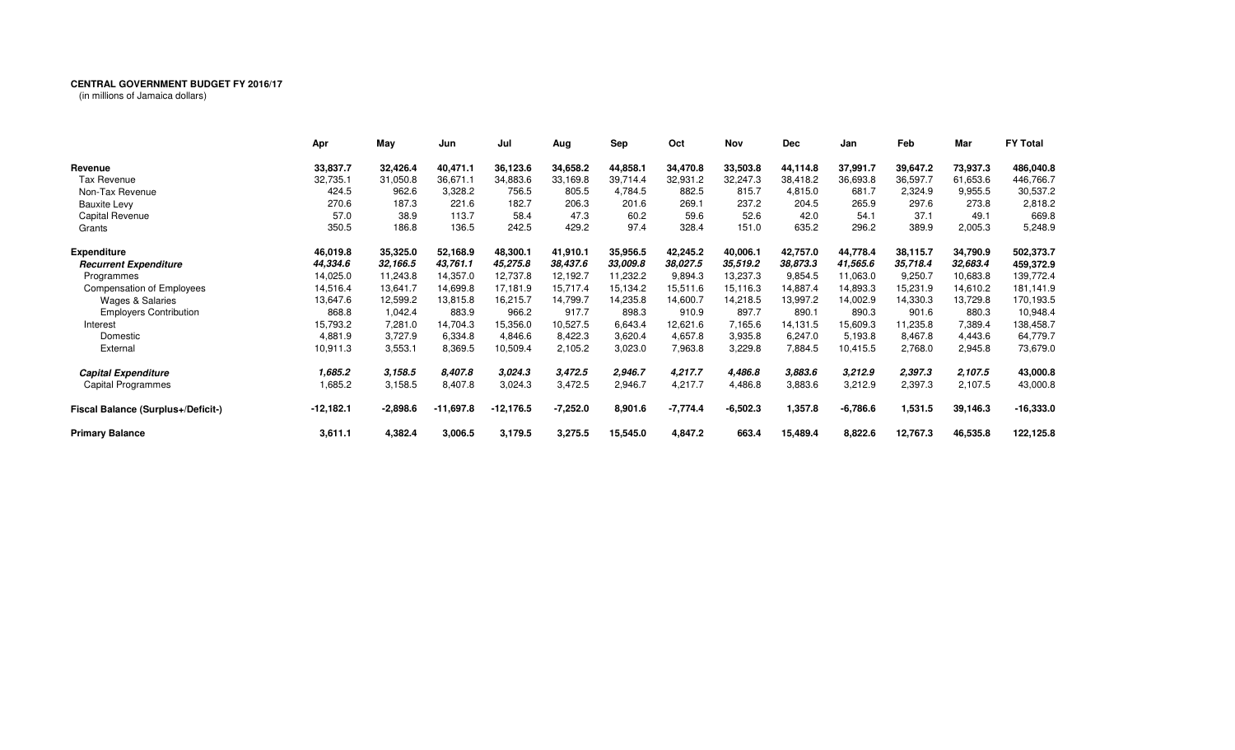## **CENTRAL GOVERNMENT BUDGET FY 2016/17**

(in millions of Jamaica dollars)

|                                    | Apr         | May        | Jun         | Jul         | Aug        | Sep      | Oct        | Nov        | <b>Dec</b> | Jan        | Feb      | Mar      | <b>FY Total</b> |
|------------------------------------|-------------|------------|-------------|-------------|------------|----------|------------|------------|------------|------------|----------|----------|-----------------|
| Revenue                            | 33,837.7    | 32,426.4   | 40,471.1    | 36,123.6    | 34,658.2   | 44,858.1 | 34,470.8   | 33,503.8   | 44,114.8   | 37,991.7   | 39,647.2 | 73,937.3 | 486,040.8       |
| Tax Revenue                        | 32,735.1    | 31,050.8   | 36,671.1    | 34,883.6    | 33,169.8   | 39,714.4 | 32,931.2   | 32,247.3   | 38,418.2   | 36,693.8   | 36,597.7 | 61,653.6 | 446,766.7       |
| Non-Tax Revenue                    | 424.5       | 962.6      | 3,328.2     | 756.5       | 805.5      | 4,784.5  | 882.5      | 815.7      | 4,815.0    | 681.7      | 2,324.9  | 9,955.5  | 30,537.2        |
| <b>Bauxite Levy</b>                | 270.6       | 187.3      | 221.6       | 182.7       | 206.3      | 201.6    | 269.1      | 237.2      | 204.5      | 265.9      | 297.6    | 273.8    | 2,818.2         |
| Capital Revenue                    | 57.0        | 38.9       | 113.7       | 58.4        | 47.3       | 60.2     | 59.6       | 52.6       | 42.0       | 54.1       | 37.1     | 49.1     | 669.8           |
| Grants                             | 350.5       | 186.8      | 136.5       | 242.5       | 429.2      | 97.4     | 328.4      | 151.0      | 635.2      | 296.2      | 389.9    | 2,005.3  | 5,248.9         |
| <b>Expenditure</b>                 | 46,019.8    | 35,325.0   | 52,168.9    | 48,300.1    | 41,910.1   | 35,956.5 | 42,245.2   | 40,006.1   | 42,757.0   | 44,778.4   | 38,115.7 | 34,790.9 | 502,373.7       |
| <b>Recurrent Expenditure</b>       | 44,334.6    | 32,166.5   | 43,761.1    | 45,275.8    | 38,437.6   | 33,009.8 | 38,027.5   | 35,519.2   | 38,873.3   | 41,565.6   | 35,718.4 | 32,683.4 | 459,372.9       |
| Programmes                         | 14,025.0    | 11,243.8   | 14,357.0    | 12,737.8    | 12,192.7   | 11,232.2 | 9,894.3    | 13,237.3   | 9,854.5    | 11,063.0   | 9,250.7  | 10,683.8 | 139,772.4       |
| <b>Compensation of Employees</b>   | 14,516.4    | 13,641.7   | 14,699.8    | 17,181.9    | 15,717.4   | 15,134.2 | 15,511.6   | 15,116.3   | 14,887.4   | 14,893.3   | 15,231.9 | 14,610.2 | 181,141.9       |
| <b>Wages &amp; Salaries</b>        | 13,647.6    | 12,599.2   | 13,815.8    | 16,215.7    | 14,799.7   | 14,235.8 | 14,600.7   | 14,218.5   | 13,997.2   | 14,002.9   | 14,330.3 | 13,729.8 | 170,193.5       |
| <b>Employers Contribution</b>      | 868.8       | 1,042.4    | 883.9       | 966.2       | 917.7      | 898.3    | 910.9      | 897.7      | 890.1      | 890.3      | 901.6    | 880.3    | 10,948.4        |
| Interest                           | 15,793.2    | 7,281.0    | 14,704.3    | 15,356.0    | 10,527.5   | 6,643.4  | 12,621.6   | 7,165.6    | 14,131.5   | 15,609.3   | 11,235.8 | 7,389.4  | 138,458.7       |
| Domestic                           | 4,881.9     | 3,727.9    | 6,334.8     | 4,846.6     | 8,422.3    | 3,620.4  | 4,657.8    | 3,935.8    | 6,247.0    | 5,193.8    | 8,467.8  | 4,443.6  | 64,779.7        |
| External                           | 10,911.3    | 3,553.1    | 8,369.5     | 10,509.4    | 2,105.2    | 3,023.0  | 7,963.8    | 3,229.8    | 7,884.5    | 10,415.5   | 2,768.0  | 2,945.8  | 73,679.0        |
| <b>Capital Expenditure</b>         | 1,685.2     | 3,158.5    | 8,407.8     | 3.024.3     | 3,472.5    | 2,946.7  | 4,217.7    | 4,486.8    | 3,883.6    | 3,212.9    | 2,397.3  | 2,107.5  | 43,000.8        |
| Capital Programmes                 | 1,685.2     | 3,158.5    | 8,407.8     | 3,024.3     | 3,472.5    | 2,946.7  | 4,217.7    | 4,486.8    | 3,883.6    | 3,212.9    | 2,397.3  | 2,107.5  | 43,000.8        |
| Fiscal Balance (Surplus+/Deficit-) | $-12,182.1$ | $-2,898.6$ | $-11,697.8$ | $-12,176.5$ | $-7,252.0$ | 8,901.6  | $-7,774.4$ | $-6,502.3$ | 1,357.8    | $-6,786.6$ | 1,531.5  | 39,146.3 | -16,333.0       |
| <b>Primary Balance</b>             | 3,611.1     | 4,382.4    | 3,006.5     | 3,179.5     | 3,275.5    | 15,545.0 | 4,847.2    | 663.4      | 15,489.4   | 8,822.6    | 12,767.3 | 46,535.8 | 122,125.8       |